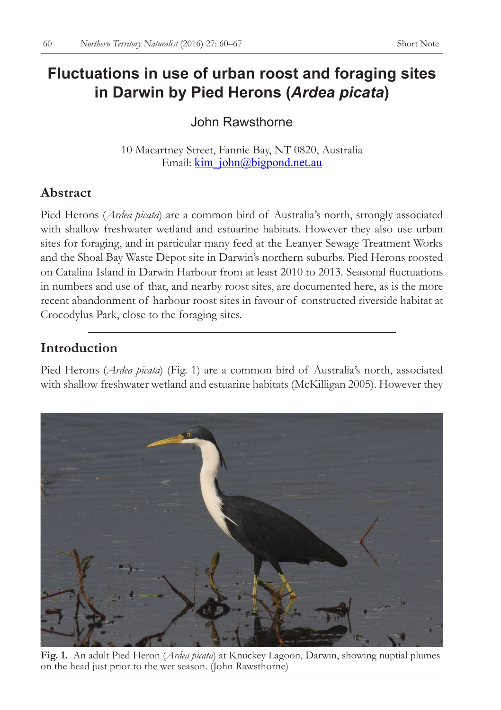# **Fluctuations in use of urban roost and foraging sites in Darwin by Pied Herons (***Ardea picata***)**

# John Rawsthorne

10 Macartney Street, Fannie Bay, NT 0820, Australia Email: kim\_john@bigpond.net.au

# **Abstract**

Pied Herons (*Ardea picata*) are a common bird of Australia's north, strongly associated with shallow freshwater wetland and estuarine habitats. However they also use urban sites for foraging, and in particular many feed at the Leanyer Sewage Treatment Works and the Shoal Bay Waste Depot site in Darwin's northern suburbs. Pied Herons roosted on Catalina Island in Darwin Harbour from at least 2010 to 2013. Seasonal fluctuations in numbers and use of that, and nearby roost sites, are documented here, as is the more recent abandonment of harbour roost sites in favour of constructed riverside habitat at Crocodylus Park, close to the foraging sites.

# **Introduction**

Pied Herons (*Ardea picata*) (Fig. 1) are a common bird of Australia's north, associated with shallow freshwater wetland and estuarine habitats (McKilligan 2005). However they



**Fig. 1.** An adult Pied Heron (*Ardea picata*) at Knuckey Lagoon, Darwin, showing nuptial plumes on the head just prior to the wet season. (John Rawsthorne)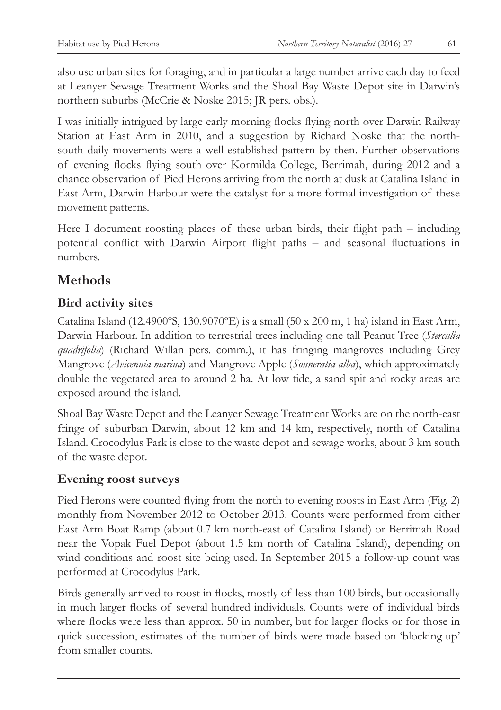also use urban sites for foraging, and in particular a large number arrive each day to feed at Leanyer Sewage Treatment Works and the Shoal Bay Waste Depot site in Darwin's northern suburbs (McCrie & Noske 2015; JR pers. obs.).

I was initially intrigued by large early morning flocks flying north over Darwin Railway Station at East Arm in 2010, and a suggestion by Richard Noske that the northsouth daily movements were a well-established pattern by then. Further observations of evening flocks flying south over Kormilda College, Berrimah, during 2012 and a chance observation of Pied Herons arriving from the north at dusk at Catalina Island in East Arm, Darwin Harbour were the catalyst for a more formal investigation of these movement patterns.

Here I document roosting places of these urban birds, their flight path – including potential conflict with Darwin Airport flight paths – and seasonal fluctuations in numbers.

# **Methods**

## **Bird activity sites**

Catalina Island (12.4900ºS, 130.9070ºE) is a small (50 x 200 m, 1 ha) island in East Arm, Darwin Harbour. In addition to terrestrial trees including one tall Peanut Tree (*Sterculia quadrifolia*) (Richard Willan pers. comm.), it has fringing mangroves including Grey Mangrove (*Avicennia marina*) and Mangrove Apple (*Sonneratia alba*), which approximately double the vegetated area to around 2 ha. At low tide, a sand spit and rocky areas are exposed around the island.

Shoal Bay Waste Depot and the Leanyer Sewage Treatment Works are on the north-east fringe of suburban Darwin, about 12 km and 14 km, respectively, north of Catalina Island. Crocodylus Park is close to the waste depot and sewage works, about 3 km south of the waste depot.

#### **Evening roost surveys**

Pied Herons were counted flying from the north to evening roosts in East Arm (Fig. 2) monthly from November 2012 to October 2013. Counts were performed from either East Arm Boat Ramp (about 0.7 km north-east of Catalina Island) or Berrimah Road near the Vopak Fuel Depot (about 1.5 km north of Catalina Island), depending on wind conditions and roost site being used. In September 2015 a follow-up count was performed at Crocodylus Park.

Birds generally arrived to roost in flocks, mostly of less than 100 birds, but occasionally in much larger flocks of several hundred individuals. Counts were of individual birds where flocks were less than approx. 50 in number, but for larger flocks or for those in quick succession, estimates of the number of birds were made based on 'blocking up' from smaller counts.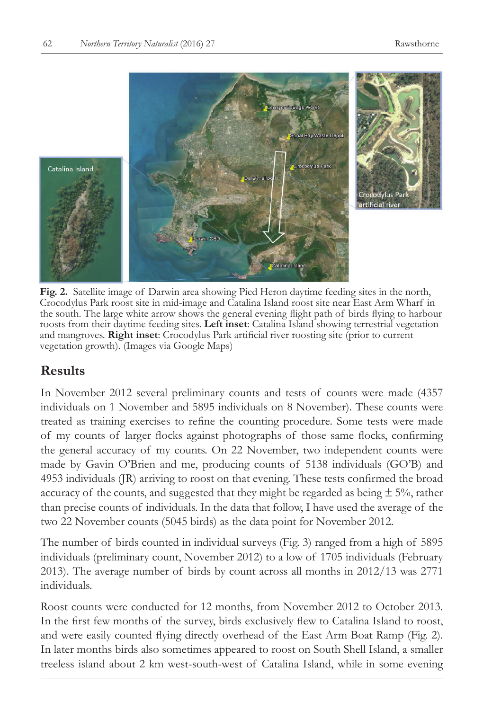

**Fig. 2.** Satellite image of Darwin area showing Pied Heron daytime feeding sites in the north, Crocodylus Park roost site in mid-image and Catalina Island roost site near East Arm Wharf in the south. The large white arrow shows the general evening flight path of birds flying to harbour roosts from their daytime feeding sites. **Left inset**: Catalina Island showing terrestrial vegetation and mangroves. **Right inset**: Crocodylus Park artificial river roosting site (prior to current vegetation growth). (Images via Google Maps)

## **Results**

In November 2012 several preliminary counts and tests of counts were made (4357 individuals on 1 November and 5895 individuals on 8 November). These counts were treated as training exercises to refine the counting procedure. Some tests were made of my counts of larger flocks against photographs of those same flocks, confirming the general accuracy of my counts. On 22 November, two independent counts were made by Gavin O'Brien and me, producing counts of 5138 individuals (GO'B) and 4953 individuals (JR) arriving to roost on that evening. These tests confirmed the broad accuracy of the counts, and suggested that they might be regarded as being  $\pm$  5%, rather than precise counts of individuals. In the data that follow, I have used the average of the two 22 November counts (5045 birds) as the data point for November 2012.

The number of birds counted in individual surveys (Fig. 3) ranged from a high of 5895 individuals (preliminary count, November 2012) to a low of 1705 individuals (February 2013). The average number of birds by count across all months in 2012/13 was 2771 individuals.

Roost counts were conducted for 12 months, from November 2012 to October 2013. In the first few months of the survey, birds exclusively flew to Catalina Island to roost, and were easily counted flying directly overhead of the East Arm Boat Ramp (Fig. 2). In later months birds also sometimes appeared to roost on South Shell Island, a smaller treeless island about 2 km west-south-west of Catalina Island, while in some evening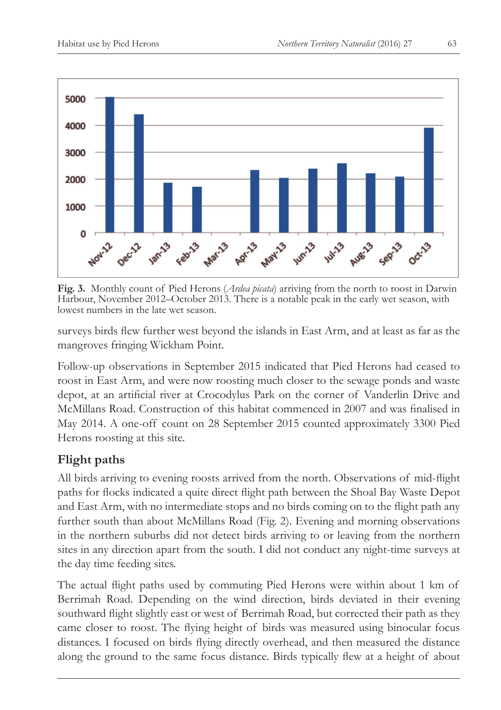

**Fig. 3.** Monthly count of Pied Herons (*Ardea picata*) arriving from the north to roost in Darwin Harbour, November 2012–October 2013. There is a notable peak in the early wet season, with lowest numbers in the late wet season.

surveys birds flew further west beyond the islands in East Arm, and at least as far as the mangroves fringing Wickham Point.

Follow-up observations in September 2015 indicated that Pied Herons had ceased to roost in East Arm, and were now roosting much closer to the sewage ponds and waste depot, at an artificial river at Crocodylus Park on the corner of Vanderlin Drive and McMillans Road. Construction of this habitat commenced in 2007 and was finalised in May 2014. A one-off count on 28 September 2015 counted approximately 3300 Pied Herons roosting at this site.

## **Flight paths**

All birds arriving to evening roosts arrived from the north. Observations of mid-flight paths for flocks indicated a quite direct flight path between the Shoal Bay Waste Depot and East Arm, with no intermediate stops and no birds coming on to the flight path any further south than about McMillans Road (Fig. 2). Evening and morning observations in the northern suburbs did not detect birds arriving to or leaving from the northern sites in any direction apart from the south. I did not conduct any night-time surveys at the day time feeding sites.

The actual flight paths used by commuting Pied Herons were within about 1 km of Berrimah Road. Depending on the wind direction, birds deviated in their evening southward flight slightly east or west of Berrimah Road, but corrected their path as they came closer to roost. The flying height of birds was measured using binocular focus distances. I focused on birds flying directly overhead, and then measured the distance along the ground to the same focus distance. Birds typically flew at a height of about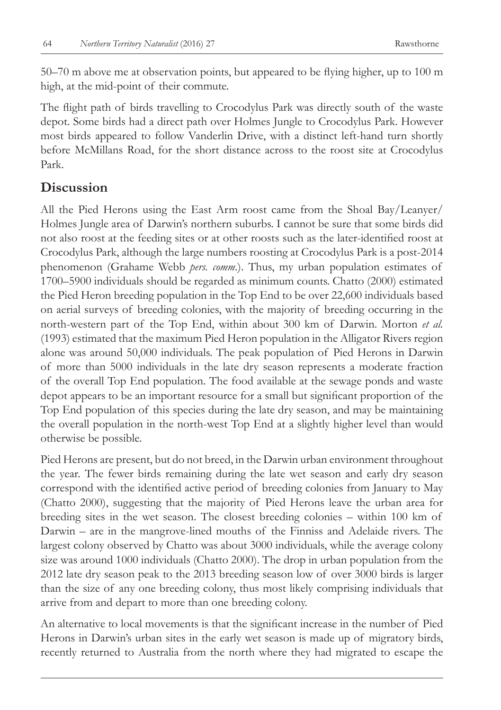50–70 m above me at observation points, but appeared to be flying higher, up to 100 m high, at the mid-point of their commute.

The flight path of birds travelling to Crocodylus Park was directly south of the waste depot. Some birds had a direct path over Holmes Jungle to Crocodylus Park. However most birds appeared to follow Vanderlin Drive, with a distinct left-hand turn shortly before McMillans Road, for the short distance across to the roost site at Crocodylus Park.

#### **Discussion**

All the Pied Herons using the East Arm roost came from the Shoal Bay/Leanyer/ Holmes Jungle area of Darwin's northern suburbs. I cannot be sure that some birds did not also roost at the feeding sites or at other roosts such as the later-identified roost at Crocodylus Park, although the large numbers roosting at Crocodylus Park is a post-2014 phenomenon (Grahame Webb *pers. comm*.). Thus, my urban population estimates of 1700–5900 individuals should be regarded as minimum counts. Chatto (2000) estimated the Pied Heron breeding population in the Top End to be over 22,600 individuals based on aerial surveys of breeding colonies, with the majority of breeding occurring in the north-western part of the Top End, within about 300 km of Darwin. Morton *et al.* (1993) estimated that the maximum Pied Heron population in the Alligator Rivers region alone was around 50,000 individuals. The peak population of Pied Herons in Darwin of more than 5000 individuals in the late dry season represents a moderate fraction of the overall Top End population. The food available at the sewage ponds and waste depot appears to be an important resource for a small but significant proportion of the Top End population of this species during the late dry season, and may be maintaining the overall population in the north-west Top End at a slightly higher level than would otherwise be possible.

Pied Herons are present, but do not breed, in the Darwin urban environment throughout the year. The fewer birds remaining during the late wet season and early dry season correspond with the identified active period of breeding colonies from January to May (Chatto 2000), suggesting that the majority of Pied Herons leave the urban area for breeding sites in the wet season. The closest breeding colonies – within 100 km of Darwin – are in the mangrove-lined mouths of the Finniss and Adelaide rivers. The largest colony observed by Chatto was about 3000 individuals, while the average colony size was around 1000 individuals (Chatto 2000). The drop in urban population from the 2012 late dry season peak to the 2013 breeding season low of over 3000 birds is larger than the size of any one breeding colony, thus most likely comprising individuals that arrive from and depart to more than one breeding colony.

An alternative to local movements is that the significant increase in the number of Pied Herons in Darwin's urban sites in the early wet season is made up of migratory birds, recently returned to Australia from the north where they had migrated to escape the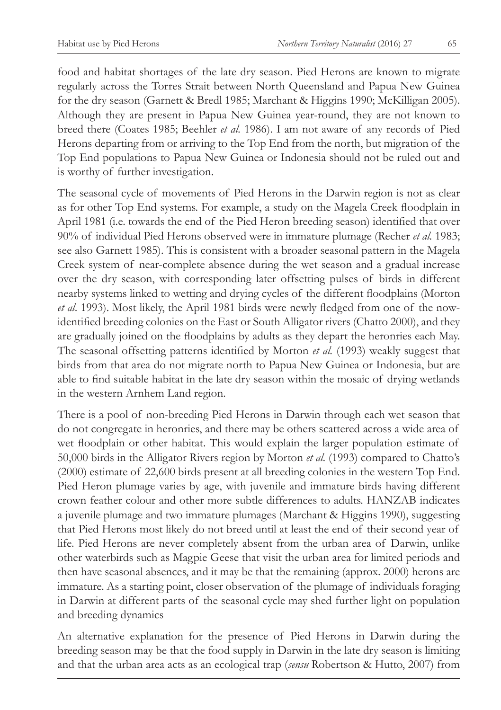food and habitat shortages of the late dry season. Pied Herons are known to migrate regularly across the Torres Strait between North Queensland and Papua New Guinea for the dry season (Garnett & Bredl 1985; Marchant & Higgins 1990; McKilligan 2005). Although they are present in Papua New Guinea year-round, they are not known to breed there (Coates 1985; Beehler *et al.* 1986). I am not aware of any records of Pied Herons departing from or arriving to the Top End from the north, but migration of the Top End populations to Papua New Guinea or Indonesia should not be ruled out and is worthy of further investigation.

The seasonal cycle of movements of Pied Herons in the Darwin region is not as clear as for other Top End systems. For example, a study on the Magela Creek floodplain in April 1981 (i.e. towards the end of the Pied Heron breeding season) identified that over 90% of individual Pied Herons observed were in immature plumage (Recher *et al.* 1983; see also Garnett 1985). This is consistent with a broader seasonal pattern in the Magela Creek system of near-complete absence during the wet season and a gradual increase over the dry season, with corresponding later offsetting pulses of birds in different nearby systems linked to wetting and drying cycles of the different floodplains (Morton *et al*. 1993). Most likely, the April 1981 birds were newly fledged from one of the nowidentified breeding colonies on the East or South Alligator rivers (Chatto 2000), and they are gradually joined on the floodplains by adults as they depart the heronries each May. The seasonal offsetting patterns identified by Morton *et al.* (1993) weakly suggest that birds from that area do not migrate north to Papua New Guinea or Indonesia, but are able to find suitable habitat in the late dry season within the mosaic of drying wetlands in the western Arnhem Land region.

There is a pool of non-breeding Pied Herons in Darwin through each wet season that do not congregate in heronries, and there may be others scattered across a wide area of wet floodplain or other habitat. This would explain the larger population estimate of 50,000 birds in the Alligator Rivers region by Morton *et al.* (1993) compared to Chatto's (2000) estimate of 22,600 birds present at all breeding colonies in the western Top End. Pied Heron plumage varies by age, with juvenile and immature birds having different crown feather colour and other more subtle differences to adults. HANZAB indicates a juvenile plumage and two immature plumages (Marchant & Higgins 1990), suggesting that Pied Herons most likely do not breed until at least the end of their second year of life. Pied Herons are never completely absent from the urban area of Darwin, unlike other waterbirds such as Magpie Geese that visit the urban area for limited periods and then have seasonal absences, and it may be that the remaining (approx. 2000) herons are immature. As a starting point, closer observation of the plumage of individuals foraging in Darwin at different parts of the seasonal cycle may shed further light on population and breeding dynamics

An alternative explanation for the presence of Pied Herons in Darwin during the breeding season may be that the food supply in Darwin in the late dry season is limiting and that the urban area acts as an ecological trap (*sensu* Robertson & Hutto, 2007) from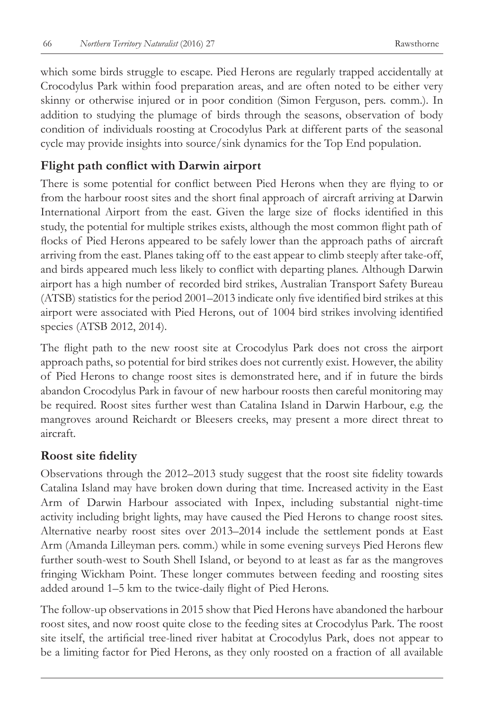which some birds struggle to escape. Pied Herons are regularly trapped accidentally at Crocodylus Park within food preparation areas, and are often noted to be either very skinny or otherwise injured or in poor condition (Simon Ferguson, pers. comm.). In addition to studying the plumage of birds through the seasons, observation of body condition of individuals roosting at Crocodylus Park at different parts of the seasonal cycle may provide insights into source/sink dynamics for the Top End population.

#### **Flight path conflict with Darwin airport**

There is some potential for conflict between Pied Herons when they are flying to or from the harbour roost sites and the short final approach of aircraft arriving at Darwin International Airport from the east. Given the large size of flocks identified in this study, the potential for multiple strikes exists, although the most common flight path of flocks of Pied Herons appeared to be safely lower than the approach paths of aircraft arriving from the east. Planes taking off to the east appear to climb steeply after take-off, and birds appeared much less likely to conflict with departing planes. Although Darwin airport has a high number of recorded bird strikes, Australian Transport Safety Bureau (ATSB) statistics for the period 2001–2013 indicate only five identified bird strikes at this airport were associated with Pied Herons, out of 1004 bird strikes involving identified species (ATSB 2012, 2014).

The flight path to the new roost site at Crocodylus Park does not cross the airport approach paths, so potential for bird strikes does not currently exist. However, the ability of Pied Herons to change roost sites is demonstrated here, and if in future the birds abandon Crocodylus Park in favour of new harbour roosts then careful monitoring may be required. Roost sites further west than Catalina Island in Darwin Harbour, e.g. the mangroves around Reichardt or Bleesers creeks, may present a more direct threat to aircraft.

#### **Roost site fidelity**

Observations through the 2012–2013 study suggest that the roost site fidelity towards Catalina Island may have broken down during that time. Increased activity in the East Arm of Darwin Harbour associated with Inpex, including substantial night-time activity including bright lights, may have caused the Pied Herons to change roost sites. Alternative nearby roost sites over 2013–2014 include the settlement ponds at East Arm (Amanda Lilleyman pers. comm.) while in some evening surveys Pied Herons flew further south-west to South Shell Island, or beyond to at least as far as the mangroves fringing Wickham Point. These longer commutes between feeding and roosting sites added around 1–5 km to the twice-daily flight of Pied Herons.

The follow-up observations in 2015 show that Pied Herons have abandoned the harbour roost sites, and now roost quite close to the feeding sites at Crocodylus Park. The roost site itself, the artificial tree-lined river habitat at Crocodylus Park, does not appear to be a limiting factor for Pied Herons, as they only roosted on a fraction of all available